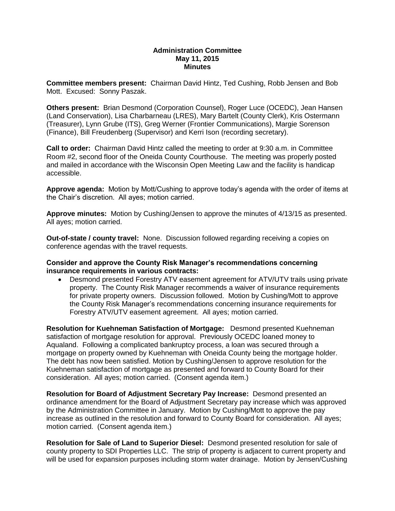#### **Administration Committee May 11, 2015 Minutes**

**Committee members present:** Chairman David Hintz, Ted Cushing, Robb Jensen and Bob Mott. Excused: Sonny Paszak.

**Others present:** Brian Desmond (Corporation Counsel), Roger Luce (OCEDC), Jean Hansen (Land Conservation), Lisa Charbarneau (LRES), Mary Bartelt (County Clerk), Kris Ostermann (Treasurer), Lynn Grube (ITS), Greg Werner (Frontier Communications), Margie Sorenson (Finance), Bill Freudenberg (Supervisor) and Kerri Ison (recording secretary).

**Call to order:** Chairman David Hintz called the meeting to order at 9:30 a.m. in Committee Room #2, second floor of the Oneida County Courthouse. The meeting was properly posted and mailed in accordance with the Wisconsin Open Meeting Law and the facility is handicap accessible.

**Approve agenda:** Motion by Mott/Cushing to approve today's agenda with the order of items at the Chair's discretion. All ayes; motion carried.

**Approve minutes:** Motion by Cushing/Jensen to approve the minutes of 4/13/15 as presented. All ayes; motion carried.

**Out-of-state / county travel:** None. Discussion followed regarding receiving a copies on conference agendas with the travel requests.

### **Consider and approve the County Risk Manager's recommendations concerning insurance requirements in various contracts:**

 Desmond presented Forestry ATV easement agreement for ATV/UTV trails using private property. The County Risk Manager recommends a waiver of insurance requirements for private property owners. Discussion followed. Motion by Cushing/Mott to approve the County Risk Manager's recommendations concerning insurance requirements for Forestry ATV/UTV easement agreement. All ayes; motion carried.

**Resolution for Kuehneman Satisfaction of Mortgage:** Desmond presented Kuehneman satisfaction of mortgage resolution for approval. Previously OCEDC loaned money to Aqualand. Following a complicated bankruptcy process, a loan was secured through a mortgage on property owned by Kuehneman with Oneida County being the mortgage holder. The debt has now been satisfied. Motion by Cushing/Jensen to approve resolution for the Kuehneman satisfaction of mortgage as presented and forward to County Board for their consideration. All ayes; motion carried. (Consent agenda item.)

**Resolution for Board of Adjustment Secretary Pay Increase:** Desmond presented an ordinance amendment for the Board of Adjustment Secretary pay increase which was approved by the Administration Committee in January. Motion by Cushing/Mott to approve the pay increase as outlined in the resolution and forward to County Board for consideration. All ayes; motion carried. (Consent agenda item.)

**Resolution for Sale of Land to Superior Diesel:** Desmond presented resolution for sale of county property to SDI Properties LLC. The strip of property is adjacent to current property and will be used for expansion purposes including storm water drainage. Motion by Jensen/Cushing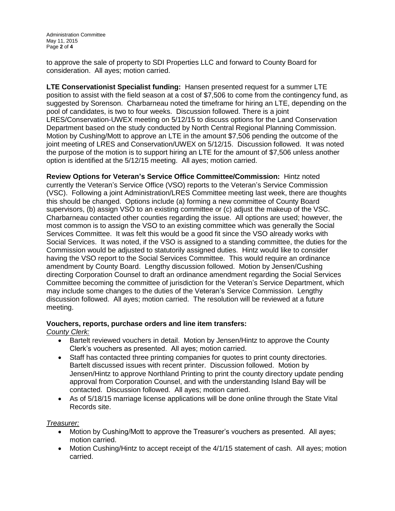to approve the sale of property to SDI Properties LLC and forward to County Board for consideration. All ayes; motion carried.

**LTE Conservationist Specialist funding:** Hansen presented request for a summer LTE position to assist with the field season at a cost of \$7,506 to come from the contingency fund, as suggested by Sorenson. Charbarneau noted the timeframe for hiring an LTE, depending on the pool of candidates, is two to four weeks. Discussion followed. There is a joint LRES/Conservation-UWEX meeting on 5/12/15 to discuss options for the Land Conservation Department based on the study conducted by North Central Regional Planning Commission. Motion by Cushing/Mott to approve an LTE in the amount \$7,506 pending the outcome of the joint meeting of LRES and Conservation/UWEX on 5/12/15. Discussion followed. It was noted the purpose of the motion is to support hiring an LTE for the amount of \$7,506 unless another option is identified at the 5/12/15 meeting. All ayes; motion carried.

**Review Options for Veteran's Service Office Committee/Commission:** Hintz noted currently the Veteran's Service Office (VSO) reports to the Veteran's Service Commission (VSC). Following a joint Administration/LRES Committee meeting last week, there are thoughts this should be changed. Options include (a) forming a new committee of County Board supervisors, (b) assign VSO to an existing committee or (c) adjust the makeup of the VSC. Charbarneau contacted other counties regarding the issue. All options are used; however, the most common is to assign the VSO to an existing committee which was generally the Social Services Committee. It was felt this would be a good fit since the VSO already works with Social Services. It was noted, if the VSO is assigned to a standing committee, the duties for the Commission would be adjusted to statutorily assigned duties. Hintz would like to consider having the VSO report to the Social Services Committee. This would require an ordinance amendment by County Board. Lengthy discussion followed. Motion by Jensen/Cushing directing Corporation Counsel to draft an ordinance amendment regarding the Social Services Committee becoming the committee of jurisdiction for the Veteran's Service Department, which may include some changes to the duties of the Veteran's Service Commission. Lengthy discussion followed. All ayes; motion carried. The resolution will be reviewed at a future meeting.

## **Vouchers, reports, purchase orders and line item transfers:**

*County Clerk:*

- Bartelt reviewed vouchers in detail. Motion by Jensen/Hintz to approve the County Clerk's vouchers as presented. All ayes; motion carried.
- Staff has contacted three printing companies for quotes to print county directories. Bartelt discussed issues with recent printer. Discussion followed. Motion by Jensen/Hintz to approve Northland Printing to print the county directory update pending approval from Corporation Counsel, and with the understanding Island Bay will be contacted. Discussion followed. All ayes; motion carried.
- As of 5/18/15 marriage license applications will be done online through the State Vital Records site.

*Treasurer:*

- Motion by Cushing/Mott to approve the Treasurer's vouchers as presented. All ayes; motion carried.
- Motion Cushing/Hintz to accept receipt of the 4/1/15 statement of cash. All ayes; motion carried.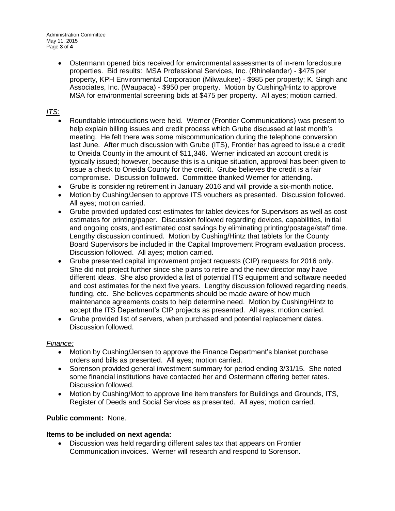Administration Committee May 11, 2015 Page **3** of **4**

> Ostermann opened bids received for environmental assessments of in-rem foreclosure properties. Bid results: MSA Professional Services, Inc. (Rhinelander) - \$475 per property, KPH Environmental Corporation (Milwaukee) - \$985 per property; K. Singh and Associates, Inc. (Waupaca) - \$950 per property. Motion by Cushing/Hintz to approve MSA for environmental screening bids at \$475 per property. All ayes; motion carried.

# *ITS:*

- Roundtable introductions were held. Werner (Frontier Communications) was present to help explain billing issues and credit process which Grube discussed at last month's meeting. He felt there was some miscommunication during the telephone conversion last June. After much discussion with Grube (ITS), Frontier has agreed to issue a credit to Oneida County in the amount of \$11,346. Werner indicated an account credit is typically issued; however, because this is a unique situation, approval has been given to issue a check to Oneida County for the credit. Grube believes the credit is a fair compromise. Discussion followed. Committee thanked Werner for attending.
- Grube is considering retirement in January 2016 and will provide a six-month notice.
- Motion by Cushing/Jensen to approve ITS vouchers as presented. Discussion followed. All ayes; motion carried.
- Grube provided updated cost estimates for tablet devices for Supervisors as well as cost estimates for printing/paper. Discussion followed regarding devices, capabilities, initial and ongoing costs, and estimated cost savings by eliminating printing/postage/staff time. Lengthy discussion continued. Motion by Cushing/Hintz that tablets for the County Board Supervisors be included in the Capital Improvement Program evaluation process. Discussion followed. All ayes; motion carried.
- Grube presented capital improvement project requests (CIP) requests for 2016 only. She did not project further since she plans to retire and the new director may have different ideas. She also provided a list of potential ITS equipment and software needed and cost estimates for the next five years. Lengthy discussion followed regarding needs, funding, etc. She believes departments should be made aware of how much maintenance agreements costs to help determine need. Motion by Cushing/Hintz to accept the ITS Department's CIP projects as presented. All ayes; motion carried.
- Grube provided list of servers, when purchased and potential replacement dates. Discussion followed.

## *Finance:*

- Motion by Cushing/Jensen to approve the Finance Department's blanket purchase orders and bills as presented. All ayes; motion carried.
- Sorenson provided general investment summary for period ending 3/31/15. She noted some financial institutions have contacted her and Ostermann offering better rates. Discussion followed.
- Motion by Cushing/Mott to approve line item transfers for Buildings and Grounds, ITS, Register of Deeds and Social Services as presented. All ayes; motion carried.

## **Public comment:** None.

## **Items to be included on next agenda:**

 Discussion was held regarding different sales tax that appears on Frontier Communication invoices. Werner will research and respond to Sorenson.